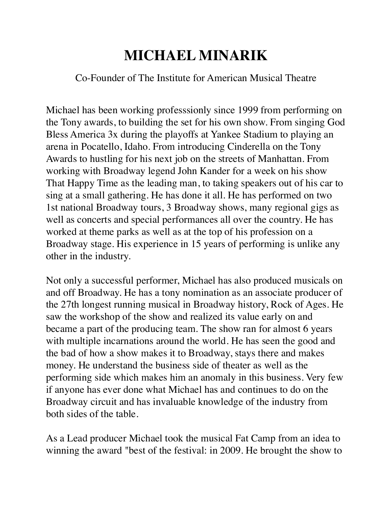## **MICHAEL MINARIK**

## Co-Founder of The Institute for American Musical Theatre

Michael has been working professsionly since 1999 from performing on the Tony awards, to building the set for his own show. From singing God Bless America 3x during the playoffs at Yankee Stadium to playing an arena in Pocatello, Idaho. From introducing Cinderella on the Tony Awards to hustling for his next job on the streets of Manhattan. From working with Broadway legend John Kander for a week on his show That Happy Time as the leading man, to taking speakers out of his car to sing at a small gathering. He has done it all. He has performed on two 1st national Broadway tours, 3 Broadway shows, many regional gigs as well as concerts and special performances all over the country. He has worked at theme parks as well as at the top of his profession on a Broadway stage. His experience in 15 years of performing is unlike any other in the industry.

Not only a successful performer, Michael has also produced musicals on and off Broadway. He has a tony nomination as an associate producer of the 27th longest running musical in Broadway history, Rock of Ages. He saw the workshop of the show and realized its value early on and became a part of the producing team. The show ran for almost 6 years with multiple incarnations around the world. He has seen the good and the bad of how a show makes it to Broadway, stays there and makes money. He understand the business side of theater as well as the performing side which makes him an anomaly in this business. Very few if anyone has ever done what Michael has and continues to do on the Broadway circuit and has invaluable knowledge of the industry from both sides of the table.

As a Lead producer Michael took the musical Fat Camp from an idea to winning the award "best of the festival: in 2009. He brought the show to